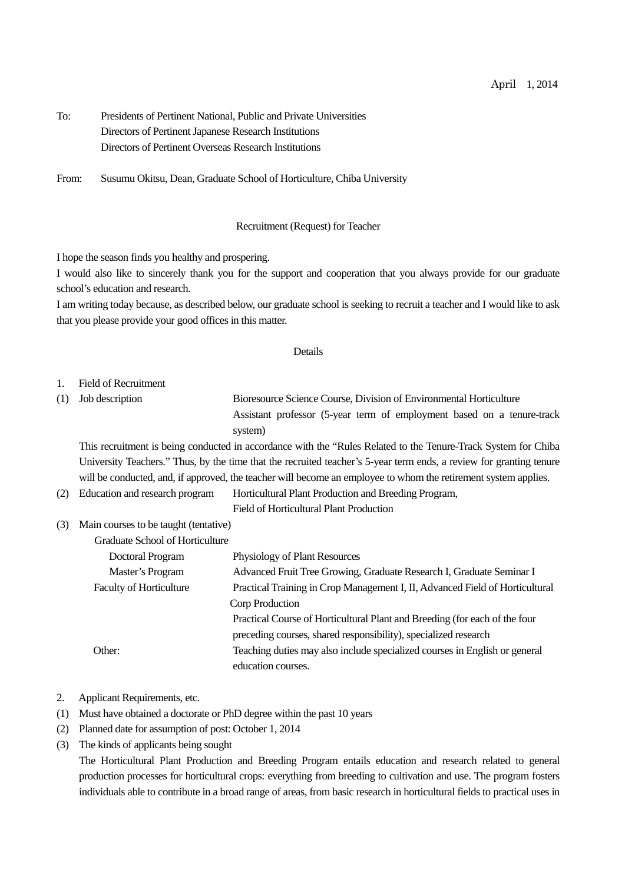| To: | Presidents of Pertinent National, Public and Private Universities |
|-----|-------------------------------------------------------------------|
|     | Directors of Pertinent Japanese Research Institutions             |
|     | Directors of Pertinent Overseas Research Institutions             |

From: Susumu Okitsu, Dean, Graduate School of Horticulture, Chiba University

## Recruitment (Request) for Teacher

I hope the season finds you healthy and prospering.

I would also like to sincerely thank you for the support and cooperation that you always provide for our graduate school's education and research.

I am writing today because, as described below, our graduate school is seeking to recruit a teacher and I would like to ask that you please provide your good offices in this matter.

## Details

- 1. Field of Recruitment
- (1) Job description Bioresource Science Course, Division of Environmental Horticulture Assistant professor (5-year term of employment based on a tenure-track system)

This recruitment is being conducted in accordance with the "Rules Related to the Tenure-Track System for Chiba University Teachers." Thus, by the time that the recruited teacher's 5-year term ends, a review for granting tenure will be conducted, and, if approved, the teacher will become an employee to whom the retirement system applies.

(2) Education and research program Horticultural Plant Production and Breeding Program,

Field of Horticultural Plant Production

(3) Main courses to be taught (tentative)  $G<sub>1</sub>$  of  $G<sub>1</sub>$  of  $G<sub>1</sub>$  of  $G<sub>1</sub>$  of  $G<sub>1</sub>$  of  $G<sub>1</sub>$  of  $G<sub>1</sub>$  of  $G<sub>1</sub>$  or  $G<sub>1</sub>$  or  $G<sub>1</sub>$  or  $G<sub>1</sub>$  or  $G<sub>1</sub>$  or  $G<sub>1</sub>$  or  $G<sub>1</sub>$  or  $G<sub>1</sub>$  or  $G<sub>1</sub>$ 

| Graduate School of Horticulture |                                                                              |
|---------------------------------|------------------------------------------------------------------------------|
| Doctoral Program                | Physiology of Plant Resources                                                |
| Master's Program                | Advanced Fruit Tree Growing, Graduate Research I, Graduate Seminar I         |
| <b>Faculty of Horticulture</b>  | Practical Training in Crop Management I, II, Advanced Field of Horticultural |
|                                 | Corp Production                                                              |
|                                 | Practical Course of Horticultural Plant and Breeding (for each of the four   |
|                                 | preceding courses, shared responsibility), specialized research              |
| Other:                          | Teaching duties may also include specialized courses in English or general   |
|                                 | education courses.                                                           |
|                                 |                                                                              |

## 2. Applicant Requirements, etc.

- (1) Must have obtained a doctorate or PhD degree within the past 10 years
- (2) Planned date for assumption of post: October 1, 2014
- (3) The kinds of applicants being sought

The Horticultural Plant Production and Breeding Program entails education and research related to general production processes for horticultural crops: everything from breeding to cultivation and use. The program fosters individuals able to contribute in a broad range of areas, from basic research in horticultural fields to practical uses in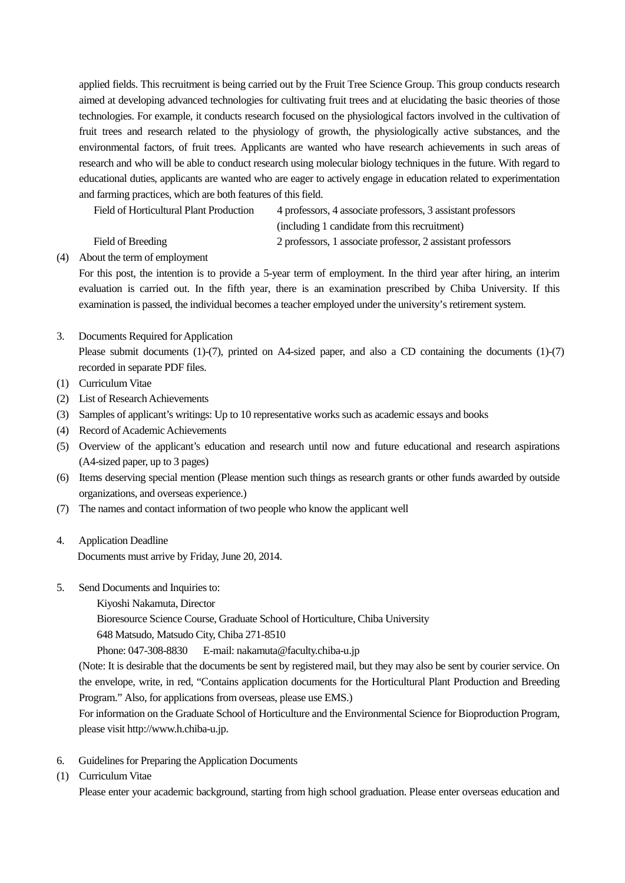applied fields. This recruitment is being carried out by the Fruit Tree Science Group. This group conducts research aimed at developing advanced technologies for cultivating fruit trees and at elucidating the basic theories of those technologies. For example, it conducts research focused on the physiological factors involved in the cultivation of fruit trees and research related to the physiology of growth, the physiologically active substances, and the environmental factors, of fruit trees. Applicants are wanted who have research achievements in such areas of research and who will be able to conduct research using molecular biology techniques in the future. With regard to educational duties, applicants are wanted who are eager to actively engage in education related to experimentation and farming practices, which are both features of this field.

| Field of Horticultural Plant Production | 4 professors, 4 associate professors, 3 assistant professors |
|-----------------------------------------|--------------------------------------------------------------|
|                                         | (including 1 candidate from this recruitment)                |
| Field of Breeding                       | 2 professors, 1 associate professor, 2 assistant professors  |

(4) About the term of employment

For this post, the intention is to provide a 5-year term of employment. In the third year after hiring, an interim evaluation is carried out. In the fifth year, there is an examination prescribed by Chiba University. If this examination is passed, the individual becomes a teacher employed under the university's retirement system.

## 3. Documents Required for Application

Please submit documents (1)-(7), printed on A4-sized paper, and also a CD containing the documents (1)-(7) recorded in separate PDF files.

- (1) Curriculum Vitae
- (2) List of Research Achievements
- (3) Samples of applicant's writings: Up to 10 representative works such as academic essays and books
- (4) Record of Academic Achievements
- (5) Overview of the applicant's education and research until now and future educational and research aspirations (A4-sized paper, up to 3 pages)
- (6) Items deserving special mention (Please mention such things as research grants or other funds awarded by outside organizations, and overseas experience.)
- (7) The names and contact information of two people who know the applicant well
- 4. Application Deadline Documents must arrive by Friday, June 20, 2014.
- 5. Send Documents and Inquiries to:
	- Kiyoshi Nakamuta, Director

Bioresource Science Course, Graduate School of Horticulture, Chiba University

648 Matsudo, Matsudo City, Chiba 271-8510

Phone: 047-308-8830 E-mail: nakamuta@faculty.chiba-u.jp

(Note: It is desirable that the documents be sent by registered mail, but they may also be sent by courier service. On the envelope, write, in red, "Contains application documents for the Horticultural Plant Production and Breeding Program." Also, for applications from overseas, please use EMS.)

For information on the Graduate School of Horticulture and the Environmental Science for Bioproduction Program, please visit http://www.h.chiba-u.jp.

- 6. Guidelines for Preparing the Application Documents
- (1) Curriculum Vitae

Please enter your academic background, starting from high school graduation. Please enter overseas education and